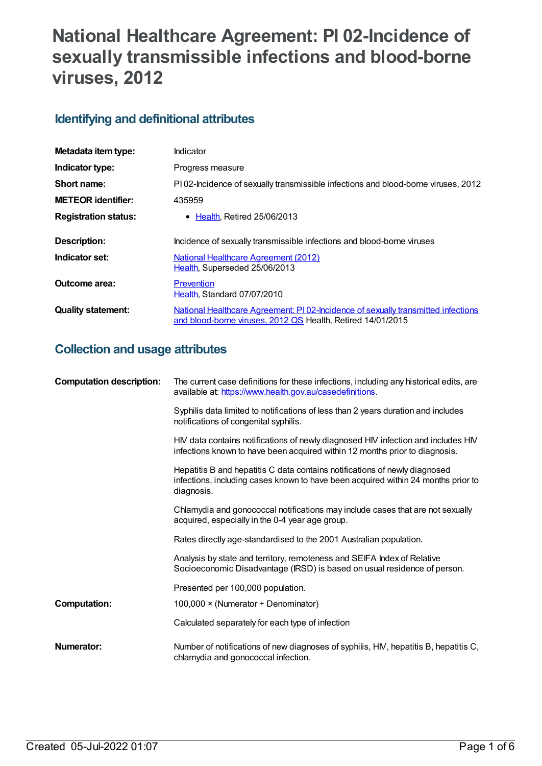# **National Healthcare Agreement: PI 02-Incidence of sexually transmissible infections and blood-borne viruses, 2012**

# **Identifying and definitional attributes**

| Metadata item type:         | Indicator                                                                                                                                       |
|-----------------------------|-------------------------------------------------------------------------------------------------------------------------------------------------|
| Indicator type:             | Progress measure                                                                                                                                |
| Short name:                 | PI02-Incidence of sexually transmissible infections and blood-borne viruses, 2012                                                               |
| <b>METEOR identifier:</b>   | 435959                                                                                                                                          |
| <b>Registration status:</b> | • Health, Retired 25/06/2013                                                                                                                    |
| Description:                | Incidence of sexually transmissible infections and blood-borne viruses                                                                          |
| Indicator set:              | National Healthcare Agreement (2012)<br>Health, Superseded 25/06/2013                                                                           |
| Outcome area:               | Prevention<br>Health, Standard 07/07/2010                                                                                                       |
| <b>Quality statement:</b>   | National Healthcare Agreement: PI02-Incidence of sexually transmitted infections<br>and blood-borne viruses, 2012 QS Health, Retired 14/01/2015 |

# **Collection and usage attributes**

| <b>Computation description:</b> | The current case definitions for these infections, including any historical edits, are<br>available at: https://www.health.gov.au/casedefinitions.                            |
|---------------------------------|-------------------------------------------------------------------------------------------------------------------------------------------------------------------------------|
|                                 | Syphilis data limited to notifications of less than 2 years duration and includes<br>notifications of congenital syphilis.                                                    |
|                                 | HIV data contains notifications of newly diagnosed HIV infection and includes HIV<br>infections known to have been acquired within 12 months prior to diagnosis.              |
|                                 | Hepatitis B and hepatitis C data contains notifications of newly diagnosed<br>infections, including cases known to have been acquired within 24 months prior to<br>diagnosis. |
|                                 | Chlamydia and gonococcal notifications may include cases that are not sexually<br>acquired, especially in the 0-4 year age group.                                             |
|                                 | Rates directly age-standardised to the 2001 Australian population.                                                                                                            |
|                                 | Analysis by state and territory, remoteness and SEIFA Index of Relative<br>Socioeconomic Disadvantage (IRSD) is based on usual residence of person.                           |
|                                 | Presented per 100,000 population.                                                                                                                                             |
| <b>Computation:</b>             | 100,000 $\times$ (Numerator $\div$ Denominator)                                                                                                                               |
|                                 | Calculated separately for each type of infection                                                                                                                              |
| Numerator:                      | Number of notifications of new diagnoses of syphilis, HIV, hepatitis B, hepatitis C,<br>chlamydia and gonococcal infection.                                                   |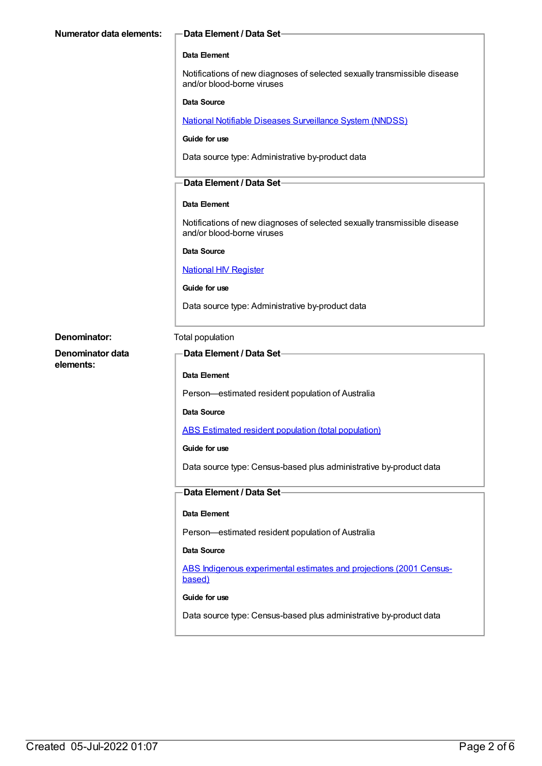| —Data Element / Data Set—                                                                               |
|---------------------------------------------------------------------------------------------------------|
|                                                                                                         |
| Data Element                                                                                            |
| Notifications of new diagnoses of selected sexually transmissible disease<br>and/or blood-borne viruses |
| Data Source                                                                                             |
| <b>National Notifiable Diseases Surveillance System (NNDSS)</b>                                         |
| Guide for use                                                                                           |
| Data source type: Administrative by-product data                                                        |
| <b>Data Element / Data Set-</b>                                                                         |
|                                                                                                         |
| Data Element                                                                                            |
|                                                                                                         |

Notifications of new diagnoses of selected sexually transmissible disease and/or blood-borne viruses

#### **Data Source**

## National HIV [Register](https://meteor.aihw.gov.au/content/396672)

**Guide for use**

Data source type: Administrative by-product data

**Denominator:** Total population

**Denominator data elements:**

# **Data Element / Data Set**

#### **Data Element**

Person—estimated resident population of Australia

**Data Source**

ABS Estimated resident population (total [population\)](https://meteor.aihw.gov.au/content/393625)

#### **Guide for use**

Data source type: Census-based plus administrative by-product data

## **Data Element / Data Set**

## **Data Element**

Person—estimated resident population of Australia

## **Data Source**

ABS Indigenous [experimental](https://meteor.aihw.gov.au/content/394092) estimates and projections (2001 Censusbased)

#### **Guide for use**

Data source type: Census-based plus administrative by-product data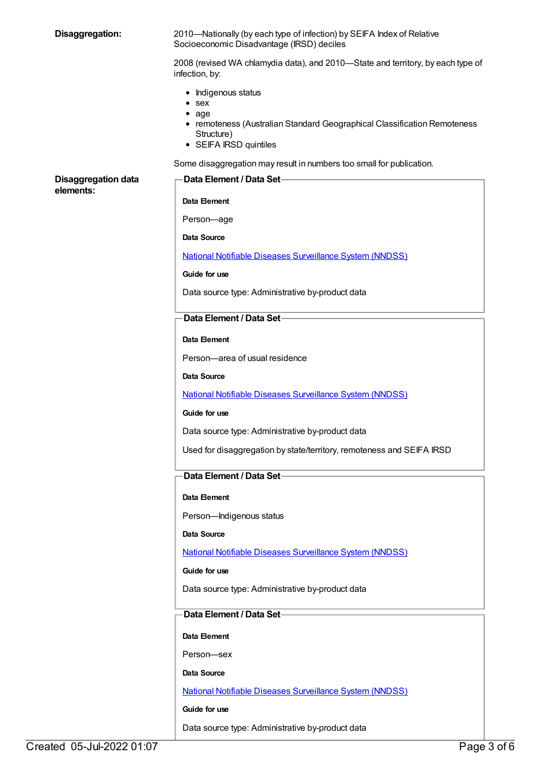| Disaggregation:            | 2010—Nationally (by each type of infection) by SEIFA Index of Relative<br>Socioeconomic Disadvantage (IRSD) deciles                                                 |
|----------------------------|---------------------------------------------------------------------------------------------------------------------------------------------------------------------|
|                            | 2008 (revised WA chlamydia data), and 2010-State and territory, by each type of<br>infection, by:                                                                   |
|                            | • Indigenous status<br>$•$ sex<br>$\bullet$ age<br>• remoteness (Australian Standard Geographical Classification Remoteness<br>Structure)<br>• SEIFA IRSD quintiles |
|                            | Some disaggregation may result in numbers too small for publication.                                                                                                |
| <b>Disaggregation data</b> | Data Element / Data Set-                                                                                                                                            |
| elements:                  | Data Element                                                                                                                                                        |
|                            | Person-age                                                                                                                                                          |
|                            | Data Source                                                                                                                                                         |
|                            | <b>National Notifiable Diseases Surveillance System (NNDSS)</b>                                                                                                     |
|                            | Guide for use                                                                                                                                                       |
|                            | Data source type: Administrative by-product data                                                                                                                    |
|                            | Data Element / Data Set-                                                                                                                                            |
|                            | Data Element                                                                                                                                                        |
|                            | Person-area of usual residence                                                                                                                                      |
|                            | Data Source                                                                                                                                                         |
|                            | <b>National Notifiable Diseases Surveillance System (NNDSS)</b>                                                                                                     |
|                            | Guide for use                                                                                                                                                       |
|                            | Data source type: Administrative by-product data                                                                                                                    |
|                            | Used for disaggregation by state/territory, remoteness and SEIFA IRSD                                                                                               |
|                            | Data Element / Data Set-                                                                                                                                            |
|                            | Data Element                                                                                                                                                        |
|                            | Person-Indigenous status                                                                                                                                            |
|                            | Data Source                                                                                                                                                         |
|                            | <b>National Notifiable Diseases Surveillance System (NNDSS)</b>                                                                                                     |
|                            | Guide for use                                                                                                                                                       |
|                            | Data source type: Administrative by-product data                                                                                                                    |
|                            | Data Element / Data Set-                                                                                                                                            |
|                            | Data Element                                                                                                                                                        |
|                            | Person-sex                                                                                                                                                          |
|                            | Data Source                                                                                                                                                         |
|                            | <b>National Notifiable Diseases Surveillance System (NNDSS)</b>                                                                                                     |
|                            | Guide for use                                                                                                                                                       |
|                            | Data source type: Administrative by-product data                                                                                                                    |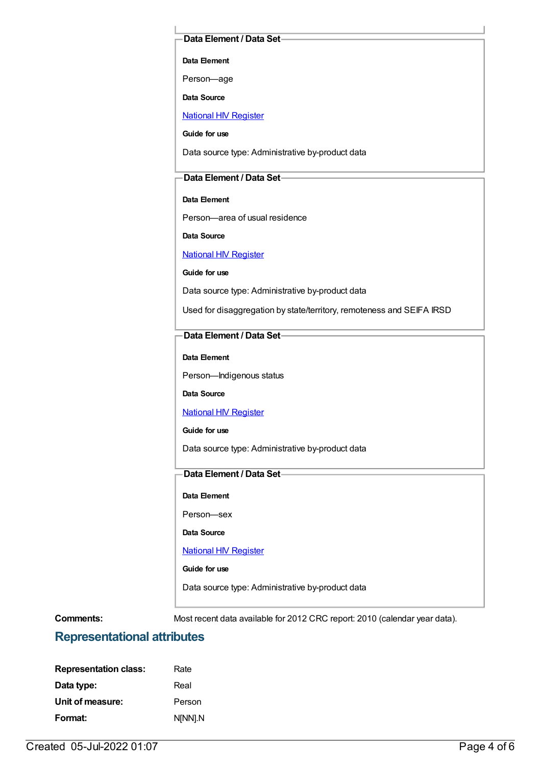## **Data Element / Data Set**

**Data Element**

Person—age

**Data Source**

National HIV [Register](https://meteor.aihw.gov.au/content/396672)

**Guide for use**

Data source type: Administrative by-product data

# **Data Element / Data Set**

**Data Element**

Person—area of usual residence

**Data Source**

National HIV [Register](https://meteor.aihw.gov.au/content/396672)

**Guide for use**

Data source type: Administrative by-product data

Used for disaggregation by state/territory, remoteness and SEIFA IRSD

# **Data Element / Data Set**

#### **Data Element**

Person—Indigenous status

# **Data Source**

## **National HIV [Register](https://meteor.aihw.gov.au/content/396672)**

## **Guide for use**

Data source type: Administrative by-product data

# **Data Element / Data Set**

**Data Element**

Person—sex

**Data Source**

#### **National HIV [Register](https://meteor.aihw.gov.au/content/396672)**

**Guide for use**

Data source type: Administrative by-product data

**Comments:** Most recent data available for 2012 CRC report: 2010 (calendar year data).

# **Representational attributes**

| <b>Representation class:</b> | Rate    |
|------------------------------|---------|
| Data type:                   | Real    |
| Unit of measure:             | Person  |
| Format:                      | N[NN].N |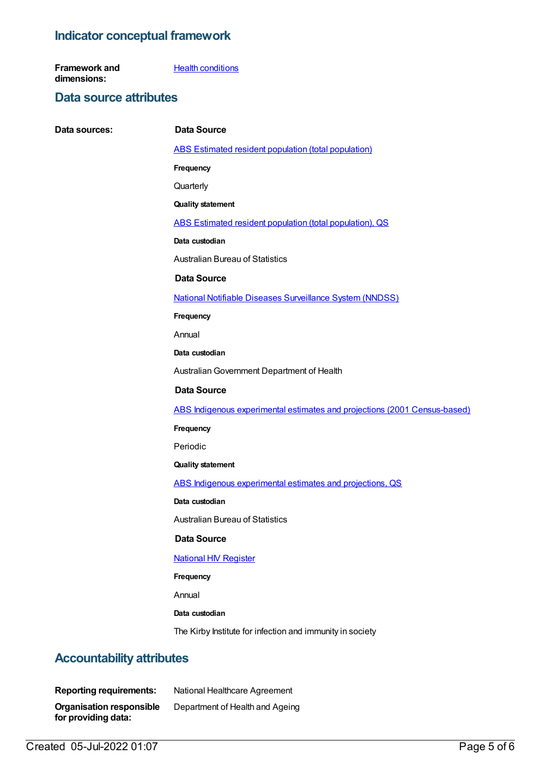# **Indicator conceptual framework**

**Framework and dimensions: Health [conditions](https://meteor.aihw.gov.au/content/392574)** 

# **Data source attributes**

| Data sources: | <b>Data Source</b>                                                        |
|---------------|---------------------------------------------------------------------------|
|               | <b>ABS Estimated resident population (total population)</b>               |
|               | Frequency                                                                 |
|               | Quarterly                                                                 |
|               | <b>Quality statement</b>                                                  |
|               | ABS Estimated resident population (total population), QS                  |
|               | Data custodian                                                            |
|               | <b>Australian Bureau of Statistics</b>                                    |
|               | <b>Data Source</b>                                                        |
|               | <b>National Notifiable Diseases Surveillance System (NNDSS)</b>           |
|               | Frequency                                                                 |
|               | Annual                                                                    |
|               | Data custodian                                                            |
|               | Australian Government Department of Health                                |
|               | <b>Data Source</b>                                                        |
|               | ABS Indigenous experimental estimates and projections (2001 Census-based) |
|               | Frequency                                                                 |
|               | Periodic                                                                  |
|               | <b>Quality statement</b>                                                  |
|               | ABS Indigenous experimental estimates and projections, QS                 |
|               | Data custodian                                                            |
|               | <b>Australian Bureau of Statistics</b>                                    |
|               | <b>Data Source</b>                                                        |
|               | <b>National HIV Register</b>                                              |
|               | Frequency                                                                 |
|               | Annual                                                                    |
|               | Data custodian                                                            |
|               | The Kirby Institute for infection and immunity in society                 |
|               |                                                                           |

# **Accountability attributes**

**Reporting requirements:** National Healthcare Agreement **Organisation responsible for providing data:** Department of Health and Ageing